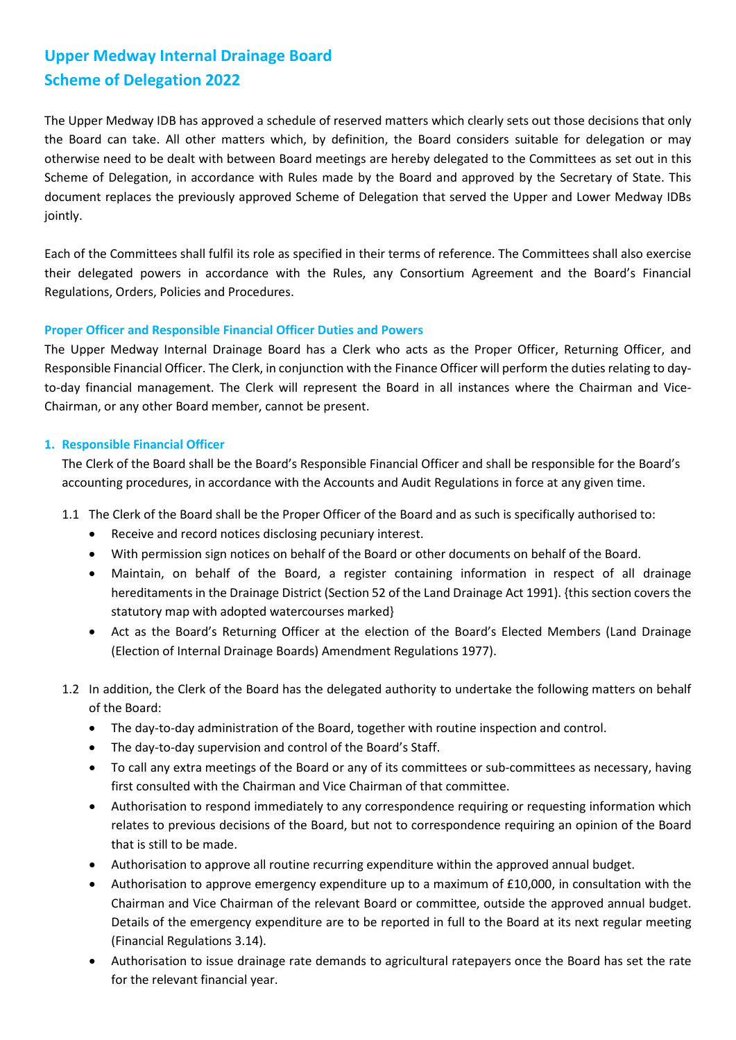# **Upper Medway Internal Drainage Board Scheme of Delegation 2022**

The Upper Medway IDB has approved a schedule of reserved matters which clearly sets out those decisions that only the Board can take. All other matters which, by definition, the Board considers suitable for delegation or may otherwise need to be dealt with between Board meetings are hereby delegated to the Committees as set out in this Scheme of Delegation, in accordance with Rules made by the Board and approved by the Secretary of State. This document replaces the previously approved Scheme of Delegation that served the Upper and Lower Medway IDBs jointly.

Each of the Committees shall fulfil its role as specified in their terms of reference. The Committees shall also exercise their delegated powers in accordance with the Rules, any Consortium Agreement and the Board's Financial Regulations, Orders, Policies and Procedures.

# **Proper Officer and Responsible Financial Officer Duties and Powers**

The Upper Medway Internal Drainage Board has a Clerk who acts as the Proper Officer, Returning Officer, and Responsible Financial Officer. The Clerk, in conjunction with the Finance Officer will perform the duties relating to dayto-day financial management. The Clerk will represent the Board in all instances where the Chairman and Vice-Chairman, or any other Board member, cannot be present.

# **1. Responsible Financial Officer**

The Clerk of the Board shall be the Board's Responsible Financial Officer and shall be responsible for the Board's accounting procedures, in accordance with the Accounts and Audit Regulations in force at any given time.

- 1.1 The Clerk of the Board shall be the Proper Officer of the Board and as such is specifically authorised to:
	- Receive and record notices disclosing pecuniary interest.
	- With permission sign notices on behalf of the Board or other documents on behalf of the Board.
	- Maintain, on behalf of the Board, a register containing information in respect of all drainage hereditaments in the Drainage District (Section 52 of the Land Drainage Act 1991). {this section covers the statutory map with adopted watercourses marked}
	- Act as the Board's Returning Officer at the election of the Board's Elected Members (Land Drainage (Election of Internal Drainage Boards) Amendment Regulations 1977).
- 1.2 In addition, the Clerk of the Board has the delegated authority to undertake the following matters on behalf of the Board:
	- The day-to-day administration of the Board, together with routine inspection and control.
	- The day-to-day supervision and control of the Board's Staff.
	- To call any extra meetings of the Board or any of its committees or sub-committees as necessary, having first consulted with the Chairman and Vice Chairman of that committee.
	- Authorisation to respond immediately to any correspondence requiring or requesting information which relates to previous decisions of the Board, but not to correspondence requiring an opinion of the Board that is still to be made.
	- Authorisation to approve all routine recurring expenditure within the approved annual budget.
	- Authorisation to approve emergency expenditure up to a maximum of £10,000, in consultation with the Chairman and Vice Chairman of the relevant Board or committee, outside the approved annual budget. Details of the emergency expenditure are to be reported in full to the Board at its next regular meeting (Financial Regulations 3.14).
	- Authorisation to issue drainage rate demands to agricultural ratepayers once the Board has set the rate for the relevant financial year.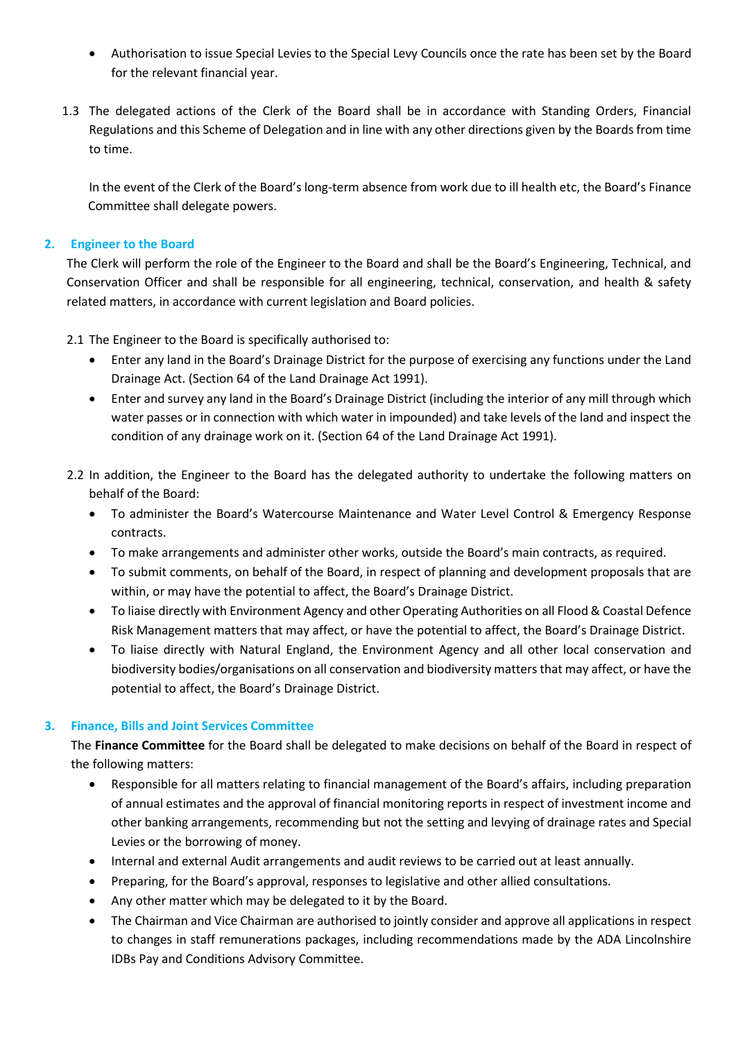- Authorisation to issue Special Levies to the Special Levy Councils once the rate has been set by the Board for the relevant financial year.
- 1.3 The delegated actions of the Clerk of the Board shall be in accordance with Standing Orders, Financial Regulations and this Scheme of Delegation and in line with any other directions given by the Boards from time to time.

In the event of the Clerk of the Board's long-term absence from work due to ill health etc, the Board's Finance Committee shall delegate powers.

# **2. Engineer to the Board**

The Clerk will perform the role of the Engineer to the Board and shall be the Board's Engineering, Technical, and Conservation Officer and shall be responsible for all engineering, technical, conservation, and health & safety related matters, in accordance with current legislation and Board policies.

2.1 The Engineer to the Board is specifically authorised to:

- Enter any land in the Board's Drainage District for the purpose of exercising any functions under the Land Drainage Act. (Section 64 of the Land Drainage Act 1991).
- Enter and survey any land in the Board's Drainage District (including the interior of any mill through which water passes or in connection with which water in impounded) and take levels of the land and inspect the condition of any drainage work on it. (Section 64 of the Land Drainage Act 1991).
- 2.2 In addition, the Engineer to the Board has the delegated authority to undertake the following matters on behalf of the Board:
	- To administer the Board's Watercourse Maintenance and Water Level Control & Emergency Response contracts.
	- To make arrangements and administer other works, outside the Board's main contracts, as required.
	- To submit comments, on behalf of the Board, in respect of planning and development proposals that are within, or may have the potential to affect, the Board's Drainage District.
	- To liaise directly with Environment Agency and other Operating Authorities on all Flood & Coastal Defence Risk Management matters that may affect, or have the potential to affect, the Board's Drainage District.
	- To liaise directly with Natural England, the Environment Agency and all other local conservation and biodiversity bodies/organisations on all conservation and biodiversity matters that may affect, or have the potential to affect, the Board's Drainage District.

### **3. Finance, Bills and Joint Services Committee**

The **Finance Committee** for the Board shall be delegated to make decisions on behalf of the Board in respect of the following matters:

- Responsible for all matters relating to financial management of the Board's affairs, including preparation of annual estimates and the approval of financial monitoring reports in respect of investment income and other banking arrangements, recommending but not the setting and levying of drainage rates and Special Levies or the borrowing of money.
- Internal and external Audit arrangements and audit reviews to be carried out at least annually.
- Preparing, for the Board's approval, responses to legislative and other allied consultations.
- Any other matter which may be delegated to it by the Board.
- The Chairman and Vice Chairman are authorised to jointly consider and approve all applications in respect to changes in staff remunerations packages, including recommendations made by the ADA Lincolnshire IDBs Pay and Conditions Advisory Committee.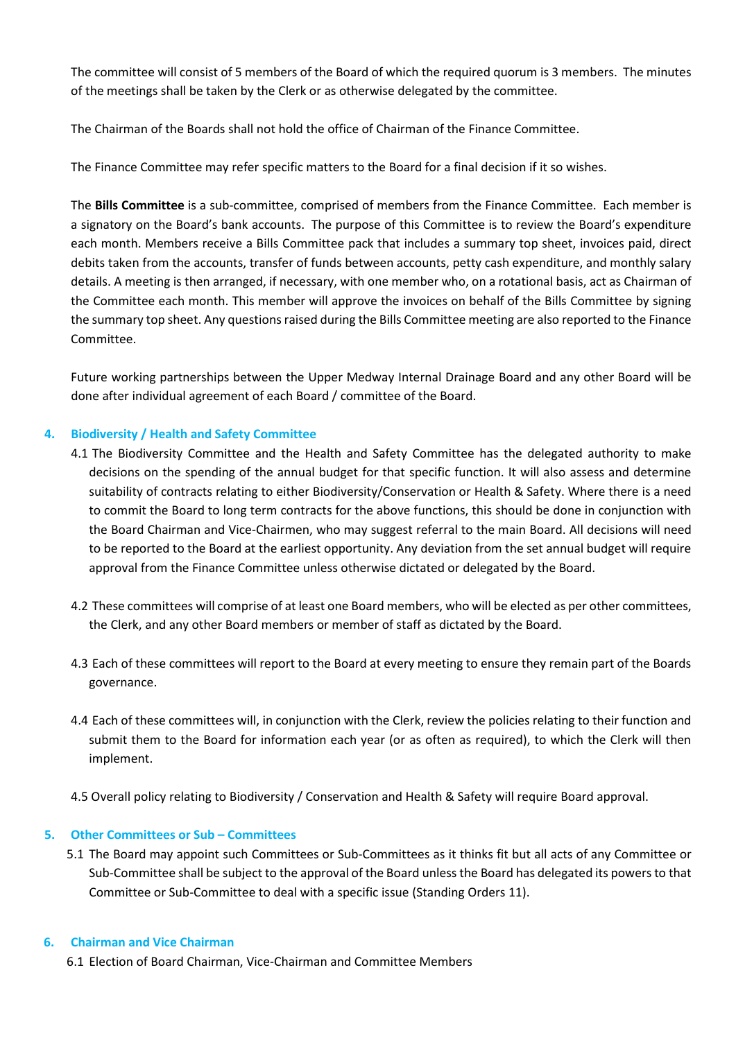The committee will consist of 5 members of the Board of which the required quorum is 3 members. The minutes of the meetings shall be taken by the Clerk or as otherwise delegated by the committee.

The Chairman of the Boards shall not hold the office of Chairman of the Finance Committee.

The Finance Committee may refer specific matters to the Board for a final decision if it so wishes.

The **Bills Committee** is a sub-committee, comprised of members from the Finance Committee. Each member is a signatory on the Board's bank accounts. The purpose of this Committee is to review the Board's expenditure each month. Members receive a Bills Committee pack that includes a summary top sheet, invoices paid, direct debits taken from the accounts, transfer of funds between accounts, petty cash expenditure, and monthly salary details. A meeting is then arranged, if necessary, with one member who, on a rotational basis, act as Chairman of the Committee each month. This member will approve the invoices on behalf of the Bills Committee by signing the summary top sheet. Any questions raised during the Bills Committee meeting are also reported to the Finance Committee.

Future working partnerships between the Upper Medway Internal Drainage Board and any other Board will be done after individual agreement of each Board / committee of the Board.

# **4. Biodiversity / Health and Safety Committee**

- 4.1 The Biodiversity Committee and the Health and Safety Committee has the delegated authority to make decisions on the spending of the annual budget for that specific function. It will also assess and determine suitability of contracts relating to either Biodiversity/Conservation or Health & Safety. Where there is a need to commit the Board to long term contracts for the above functions, this should be done in conjunction with the Board Chairman and Vice-Chairmen, who may suggest referral to the main Board. All decisions will need to be reported to the Board at the earliest opportunity. Any deviation from the set annual budget will require approval from the Finance Committee unless otherwise dictated or delegated by the Board.
- 4.2 These committees will comprise of at least one Board members, who will be elected as per other committees, the Clerk, and any other Board members or member of staff as dictated by the Board.
- 4.3 Each of these committees will report to the Board at every meeting to ensure they remain part of the Boards governance.
- 4.4 Each of these committees will, in conjunction with the Clerk, review the policies relating to their function and submit them to the Board for information each year (or as often as required), to which the Clerk will then implement.
- 4.5 Overall policy relating to Biodiversity / Conservation and Health & Safety will require Board approval.

## **5. Other Committees or Sub – Committees**

5.1 The Board may appoint such Committees or Sub-Committees as it thinks fit but all acts of any Committee or Sub-Committee shall be subject to the approval of the Board unless the Board has delegated its powers to that Committee or Sub-Committee to deal with a specific issue (Standing Orders 11).

### **6. Chairman and Vice Chairman**

6.1 Election of Board Chairman, Vice-Chairman and Committee Members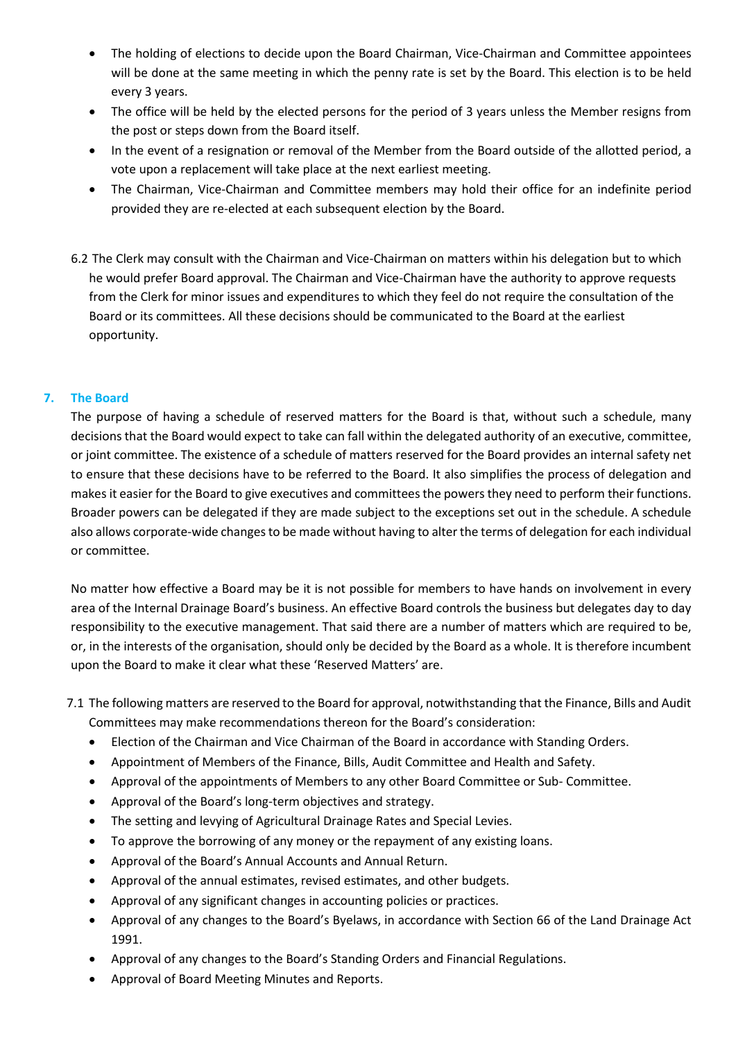- The holding of elections to decide upon the Board Chairman, Vice-Chairman and Committee appointees will be done at the same meeting in which the penny rate is set by the Board. This election is to be held every 3 years.
- The office will be held by the elected persons for the period of 3 years unless the Member resigns from the post or steps down from the Board itself.
- In the event of a resignation or removal of the Member from the Board outside of the allotted period, a vote upon a replacement will take place at the next earliest meeting.
- The Chairman, Vice-Chairman and Committee members may hold their office for an indefinite period provided they are re-elected at each subsequent election by the Board.
- 6.2 The Clerk may consult with the Chairman and Vice-Chairman on matters within his delegation but to which he would prefer Board approval. The Chairman and Vice-Chairman have the authority to approve requests from the Clerk for minor issues and expenditures to which they feel do not require the consultation of the Board or its committees. All these decisions should be communicated to the Board at the earliest opportunity.

# **7. The Board**

The purpose of having a schedule of reserved matters for the Board is that, without such a schedule, many decisions that the Board would expect to take can fall within the delegated authority of an executive, committee, or joint committee. The existence of a schedule of matters reserved for the Board provides an internal safety net to ensure that these decisions have to be referred to the Board. It also simplifies the process of delegation and makes it easier for the Board to give executives and committees the powers they need to perform their functions. Broader powers can be delegated if they are made subject to the exceptions set out in the schedule. A schedule also allows corporate-wide changes to be made without having to alter the terms of delegation for each individual or committee.

No matter how effective a Board may be it is not possible for members to have hands on involvement in every area of the Internal Drainage Board's business. An effective Board controls the business but delegates day to day responsibility to the executive management. That said there are a number of matters which are required to be, or, in the interests of the organisation, should only be decided by the Board as a whole. It is therefore incumbent upon the Board to make it clear what these 'Reserved Matters' are.

- 7.1 The following matters are reserved to the Board for approval, notwithstanding that the Finance, Bills and Audit Committees may make recommendations thereon for the Board's consideration:
	- Election of the Chairman and Vice Chairman of the Board in accordance with Standing Orders.
	- Appointment of Members of the Finance, Bills, Audit Committee and Health and Safety.
	- Approval of the appointments of Members to any other Board Committee or Sub- Committee.
	- Approval of the Board's long-term objectives and strategy.
	- The setting and levying of Agricultural Drainage Rates and Special Levies.
	- To approve the borrowing of any money or the repayment of any existing loans.
	- Approval of the Board's Annual Accounts and Annual Return.
	- Approval of the annual estimates, revised estimates, and other budgets.
	- Approval of any significant changes in accounting policies or practices.
	- Approval of any changes to the Board's Byelaws, in accordance with Section 66 of the Land Drainage Act 1991.
	- Approval of any changes to the Board's Standing Orders and Financial Regulations.
	- Approval of Board Meeting Minutes and Reports.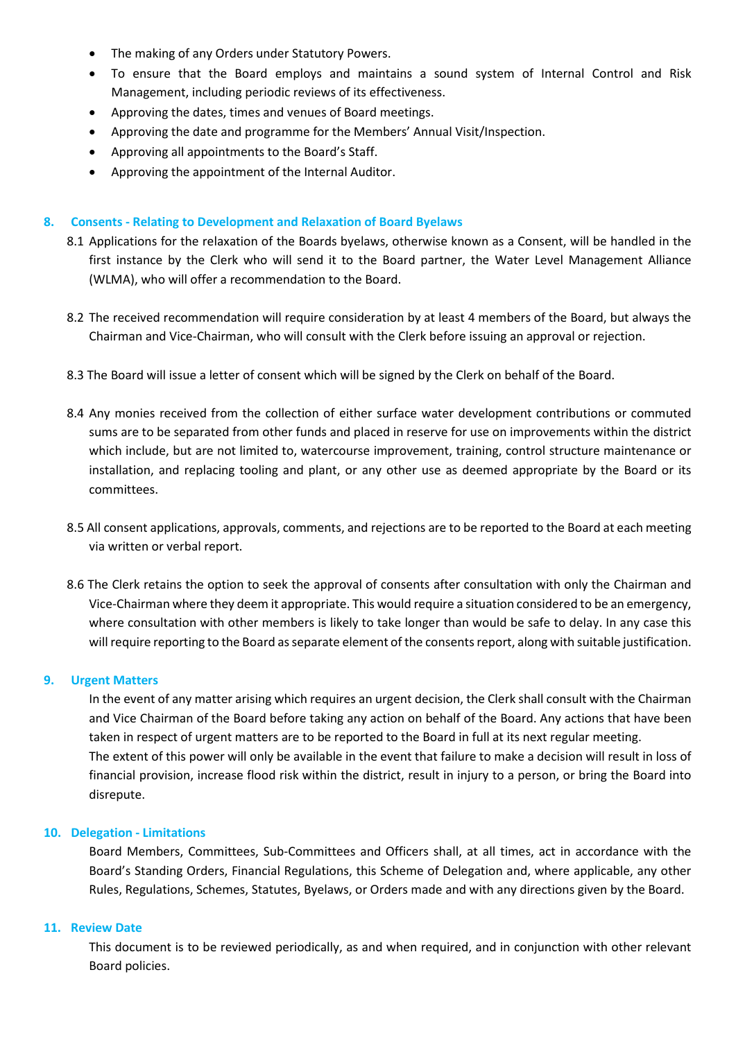- The making of any Orders under Statutory Powers.
- To ensure that the Board employs and maintains a sound system of Internal Control and Risk Management, including periodic reviews of its effectiveness.
- Approving the dates, times and venues of Board meetings.
- Approving the date and programme for the Members' Annual Visit/Inspection.
- Approving all appointments to the Board's Staff.
- Approving the appointment of the Internal Auditor.

### **8. Consents - Relating to Development and Relaxation of Board Byelaws**

- 8.1 Applications for the relaxation of the Boards byelaws, otherwise known as a Consent, will be handled in the first instance by the Clerk who will send it to the Board partner, the Water Level Management Alliance (WLMA), who will offer a recommendation to the Board.
- 8.2 The received recommendation will require consideration by at least 4 members of the Board, but always the Chairman and Vice-Chairman, who will consult with the Clerk before issuing an approval or rejection.
- 8.3 The Board will issue a letter of consent which will be signed by the Clerk on behalf of the Board.
- 8.4 Any monies received from the collection of either surface water development contributions or commuted sums are to be separated from other funds and placed in reserve for use on improvements within the district which include, but are not limited to, watercourse improvement, training, control structure maintenance or installation, and replacing tooling and plant, or any other use as deemed appropriate by the Board or its committees.
- 8.5 All consent applications, approvals, comments, and rejections are to be reported to the Board at each meeting via written or verbal report.
- 8.6 The Clerk retains the option to seek the approval of consents after consultation with only the Chairman and Vice-Chairman where they deem it appropriate. This would require a situation considered to be an emergency, where consultation with other members is likely to take longer than would be safe to delay. In any case this will require reporting to the Board as separate element of the consents report, along with suitable justification.

#### **9. Urgent Matters**

In the event of any matter arising which requires an urgent decision, the Clerk shall consult with the Chairman and Vice Chairman of the Board before taking any action on behalf of the Board. Any actions that have been taken in respect of urgent matters are to be reported to the Board in full at its next regular meeting. The extent of this power will only be available in the event that failure to make a decision will result in loss of financial provision, increase flood risk within the district, result in injury to a person, or bring the Board into disrepute.

#### **10. Delegation - Limitations**

Board Members, Committees, Sub-Committees and Officers shall, at all times, act in accordance with the Board's Standing Orders, Financial Regulations, this Scheme of Delegation and, where applicable, any other Rules, Regulations, Schemes, Statutes, Byelaws, or Orders made and with any directions given by the Board.

#### **11. Review Date**

This document is to be reviewed periodically, as and when required, and in conjunction with other relevant Board policies.